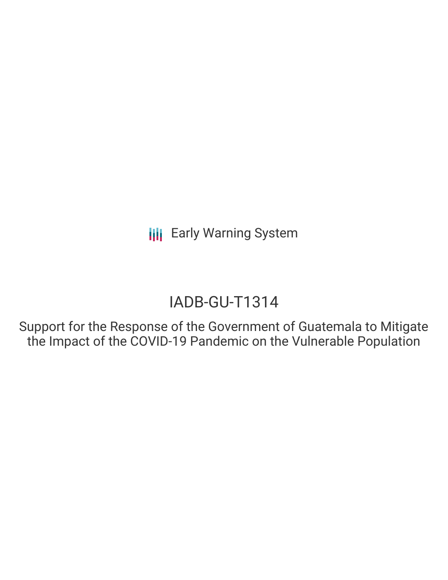# IADB-GU-T1314

Support for the Response of the Government of Guatemala to Mitigate the Impact of the COVID-19 Pandemic on the Vulnerable Population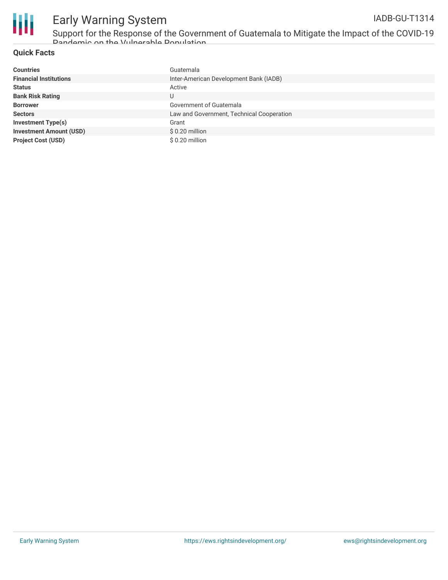

Support for the Response of the Government of Guatemala to Mitigate the Impact of the COVID-19 Pandemic on the Vulnerable Population

### **Quick Facts**

| <b>Countries</b>               | Guatemala                                 |
|--------------------------------|-------------------------------------------|
| <b>Financial Institutions</b>  | Inter-American Development Bank (IADB)    |
| <b>Status</b>                  | Active                                    |
| <b>Bank Risk Rating</b>        | U                                         |
| <b>Borrower</b>                | Government of Guatemala                   |
| <b>Sectors</b>                 | Law and Government, Technical Cooperation |
| Investment Type(s)             | Grant                                     |
| <b>Investment Amount (USD)</b> | $$0.20$ million                           |
| <b>Project Cost (USD)</b>      | $$0.20$ million                           |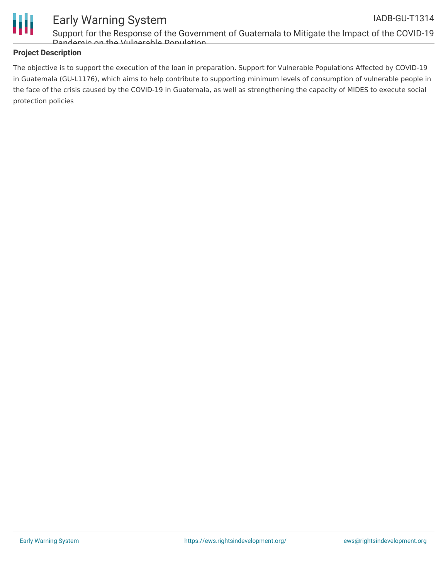

Support for the Response of the Government of Guatemala to Mitigate the Impact of the COVID-19 Pandemic on the Vulnerable Population

### **Project Description**

The objective is to support the execution of the loan in preparation. Support for Vulnerable Populations Affected by COVID-19 in Guatemala (GU-L1176), which aims to help contribute to supporting minimum levels of consumption of vulnerable people in the face of the crisis caused by the COVID-19 in Guatemala, as well as strengthening the capacity of MIDES to execute social protection policies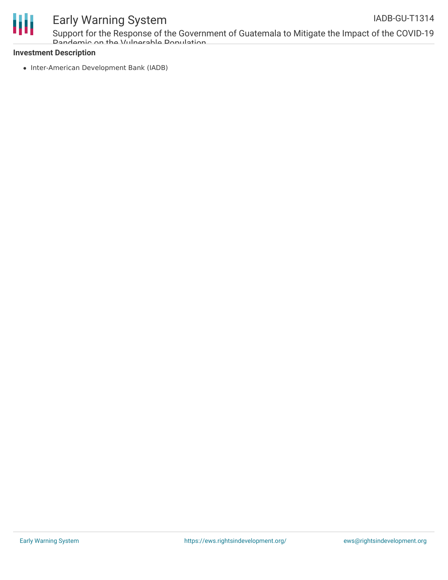

Support for the Response of the Government of Guatemala to Mitigate the Impact of the COVID-19 Pandemic on the Vulnerable Population IADB-GU-T1314

#### **Investment Description**

• Inter-American Development Bank (IADB)